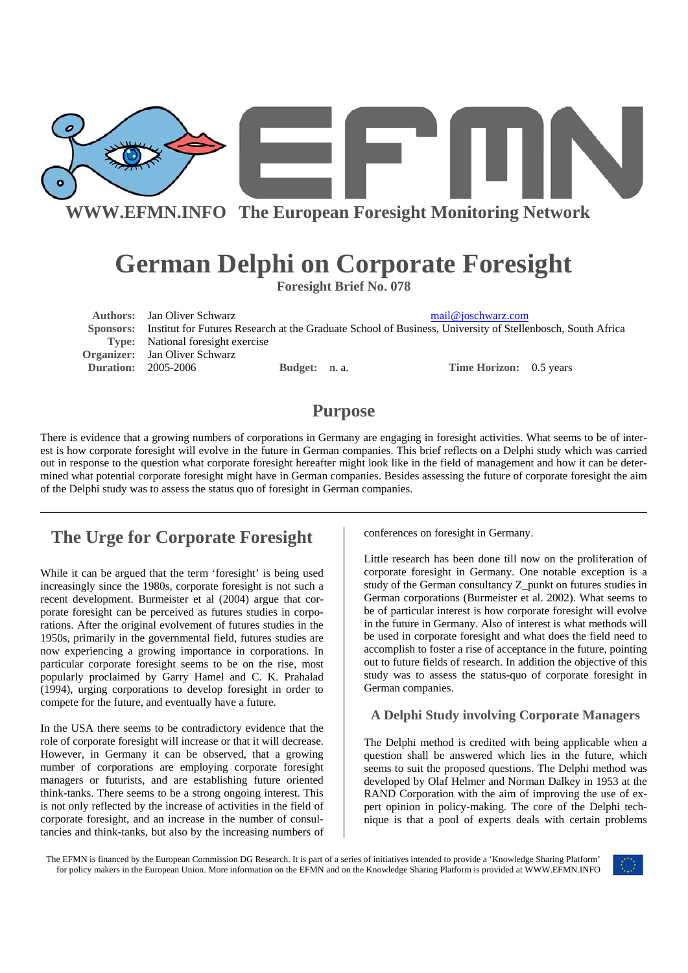

**WWW.EFMN.INFO The European Foresight Monitoring Network**

# **German Delphi on Corporate Foresight**

**Foresight Brief No. 078** 

**Authors:** Jan Oliver Schwarz mail@joschwarz.com  **Sponsors:** Institut for Futures Research at the Graduate School of Business, University of Stellenbosch, South Africa **Type:** National foresight exercise **Organizer:** Jan Oliver Schwarz **Duration:** 2005-2006 **Budget:** n. a. **Time Horizon:** 0.5 years

## **Purpose**

There is evidence that a growing numbers of corporations in Germany are engaging in foresight activities. What seems to be of interest is how corporate foresight will evolve in the future in German companies. This brief reflects on a Delphi study which was carried out in response to the question what corporate foresight hereafter might look like in the field of management and how it can be determined what potential corporate foresight might have in German companies. Besides assessing the future of corporate foresight the aim of the Delphi study was to assess the status quo of foresight in German companies.

## **The Urge for Corporate Foresight**

While it can be argued that the term 'foresight' is being used increasingly since the 1980s, corporate foresight is not such a recent development. Burmeister et al (2004) argue that corporate foresight can be perceived as futures studies in corporations. After the original evolvement of futures studies in the 1950s, primarily in the governmental field, futures studies are now experiencing a growing importance in corporations. In particular corporate foresight seems to be on the rise, most popularly proclaimed by Garry Hamel and C. K. Prahalad (1994), urging corporations to develop foresight in order to compete for the future, and eventually have a future.

In the USA there seems to be contradictory evidence that the role of corporate foresight will increase or that it will decrease. However, in Germany it can be observed, that a growing number of corporations are employing corporate foresight managers or futurists, and are establishing future oriented think-tanks. There seems to be a strong ongoing interest. This is not only reflected by the increase of activities in the field of corporate foresight, and an increase in the number of consultancies and think-tanks, but also by the increasing numbers of conferences on foresight in Germany.

Little research has been done till now on the proliferation of corporate foresight in Germany. One notable exception is a study of the German consultancy Z\_punkt on futures studies in German corporations (Burmeister et al. 2002). What seems to be of particular interest is how corporate foresight will evolve in the future in Germany. Also of interest is what methods will be used in corporate foresight and what does the field need to accomplish to foster a rise of acceptance in the future, pointing out to future fields of research. In addition the objective of this study was to assess the status-quo of corporate foresight in German companies.

#### **A Delphi Study involving Corporate Managers**

The Delphi method is credited with being applicable when a question shall be answered which lies in the future, which seems to suit the proposed questions. The Delphi method was developed by Olaf Helmer and Norman Dalkey in 1953 at the RAND Corporation with the aim of improving the use of expert opinion in policy-making. The core of the Delphi technique is that a pool of experts deals with certain problems

The EFMN is financed by the European Commission DG Research. It is part of a series of initiatives intended to provide a 'Knowledge Sharing Platform' for policy makers in the European Union. More information on the EFMN and on the Knowledge Sharing Platform is provided at WWW.EFMN.INFO

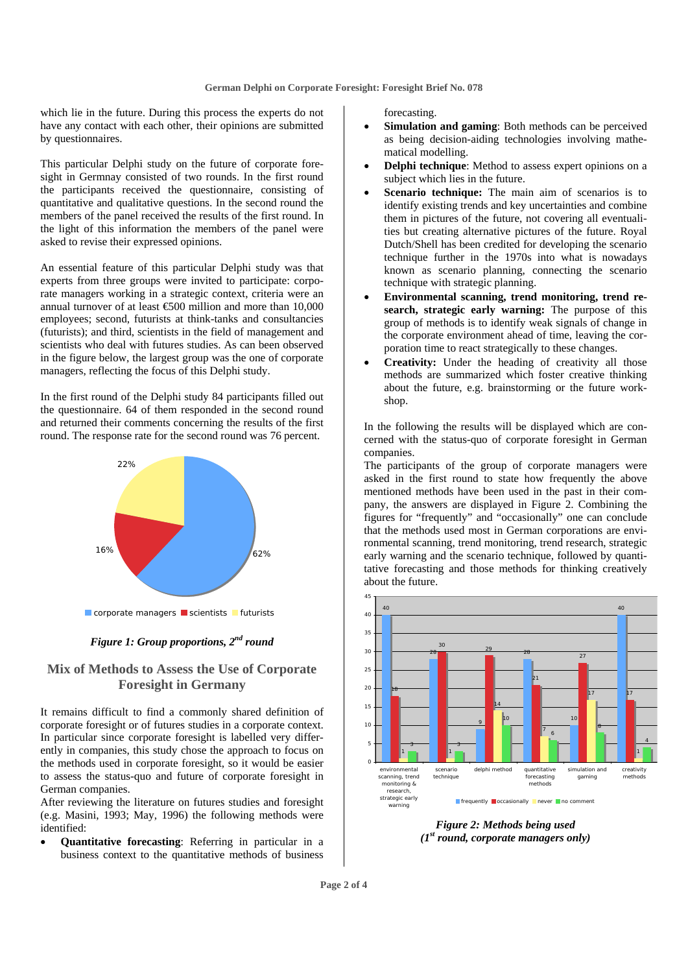which lie in the future. During this process the experts do not have any contact with each other, their opinions are submitted by questionnaires.

This particular Delphi study on the future of corporate foresight in Germnay consisted of two rounds. In the first round the participants received the questionnaire, consisting of quantitative and qualitative questions. In the second round the members of the panel received the results of the first round. In the light of this information the members of the panel were asked to revise their expressed opinions.

An essential feature of this particular Delphi study was that experts from three groups were invited to participate: corporate managers working in a strategic context, criteria were an annual turnover of at least  $\text{\textsterling}500$  million and more than 10,000 employees; second, futurists at think-tanks and consultancies (futurists); and third, scientists in the field of management and scientists who deal with futures studies. As can been observed in the figure below, the largest group was the one of corporate managers, reflecting the focus of this Delphi study.

In the first round of the Delphi study 84 participants filled out the questionnaire. 64 of them responded in the second round and returned their comments concerning the results of the first round. The response rate for the second round was 76 percent.





### **Mix of Methods to Assess the Use of Corporate Foresight in Germany**

It remains difficult to find a commonly shared definition of corporate foresight or of futures studies in a corporate context. In particular since corporate foresight is labelled very differently in companies, this study chose the approach to focus on the methods used in corporate foresight, so it would be easier to assess the status-quo and future of corporate foresight in German companies.

After reviewing the literature on futures studies and foresight (e.g. Masini, 1993; May, 1996) the following methods were identified:

• **Quantitative forecasting**: Referring in particular in a business context to the quantitative methods of business

forecasting.

- **Simulation and gaming**: Both methods can be perceived as being decision-aiding technologies involving mathematical modelling.
- **Delphi technique**: Method to assess expert opinions on a subject which lies in the future.
- Scenario technique: The main aim of scenarios is to identify existing trends and key uncertainties and combine them in pictures of the future, not covering all eventualities but creating alternative pictures of the future. Royal Dutch/Shell has been credited for developing the scenario technique further in the 1970s into what is nowadays known as scenario planning, connecting the scenario technique with strategic planning.
- **Environmental scanning, trend monitoring, trend research, strategic early warning:** The purpose of this group of methods is to identify weak signals of change in the corporate environment ahead of time, leaving the corporation time to react strategically to these changes.
- Creativity: Under the heading of creativity all those methods are summarized which foster creative thinking about the future, e.g. brainstorming or the future workshop.

In the following the results will be displayed which are concerned with the status-quo of corporate foresight in German companies.

The participants of the group of corporate managers were asked in the first round to state how frequently the above mentioned methods have been used in the past in their company, the answers are displayed in Figure 2. Combining the figures for "frequently" and "occasionally" one can conclude that the methods used most in German corporations are environmental scanning, trend monitoring, trend research, strategic early warning and the scenario technique, followed by quantitative forecasting and those methods for thinking creatively about the future.



*Figure 2: Methods being used (1st round, corporate managers only)*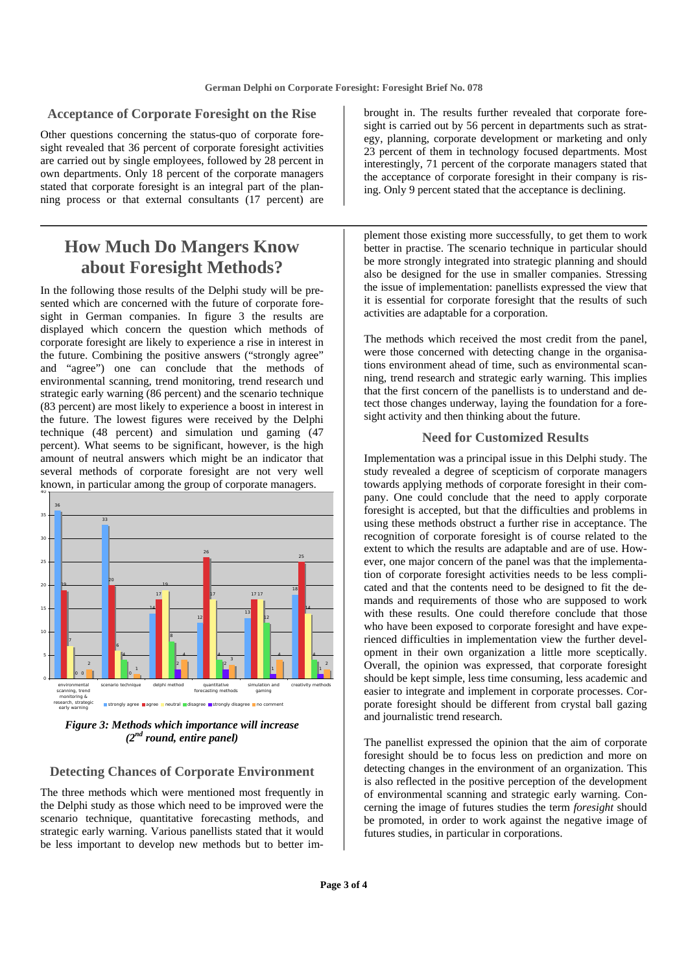#### **Acceptance of Corporate Foresight on the Rise**

Other questions concerning the status-quo of corporate foresight revealed that 36 percent of corporate foresight activities are carried out by single employees, followed by 28 percent in own departments. Only 18 percent of the corporate managers stated that corporate foresight is an integral part of the planning process or that external consultants (17 percent) are

### **How Much Do Mangers Know about Foresight Methods?**

In the following those results of the Delphi study will be presented which are concerned with the future of corporate foresight in German companies. In figure 3 the results are displayed which concern the question which methods of corporate foresight are likely to experience a rise in interest in the future. Combining the positive answers ("strongly agree" and "agree") one can conclude that the methods of environmental scanning, trend monitoring, trend research und strategic early warning (86 percent) and the scenario technique (83 percent) are most likely to experience a boost in interest in the future. The lowest figures were received by the Delphi technique (48 percent) and simulation und gaming (47 percent). What seems to be significant, however, is the high amount of neutral answers which might be an indicator that several methods of corporate foresight are not very well known, in particular among the group of corporate managers. 40



*Figure 3: Methods which importance will increase (2nd round, entire panel)* 

#### **Detecting Chances of Corporate Environment**

The three methods which were mentioned most frequently in the Delphi study as those which need to be improved were the scenario technique, quantitative forecasting methods, and strategic early warning. Various panellists stated that it would be less important to develop new methods but to better imbrought in. The results further revealed that corporate foresight is carried out by 56 percent in departments such as strategy, planning, corporate development or marketing and only 23 percent of them in technology focused departments. Most interestingly, 71 percent of the corporate managers stated that the acceptance of corporate foresight in their company is rising. Only 9 percent stated that the acceptance is declining.

plement those existing more successfully, to get them to work better in practise. The scenario technique in particular should be more strongly integrated into strategic planning and should also be designed for the use in smaller companies. Stressing the issue of implementation: panellists expressed the view that it is essential for corporate foresight that the results of such activities are adaptable for a corporation.

The methods which received the most credit from the panel, were those concerned with detecting change in the organisations environment ahead of time, such as environmental scanning, trend research and strategic early warning. This implies that the first concern of the panellists is to understand and detect those changes underway, laying the foundation for a foresight activity and then thinking about the future.

#### **Need for Customized Results**

Implementation was a principal issue in this Delphi study. The study revealed a degree of scepticism of corporate managers towards applying methods of corporate foresight in their company. One could conclude that the need to apply corporate foresight is accepted, but that the difficulties and problems in using these methods obstruct a further rise in acceptance. The recognition of corporate foresight is of course related to the extent to which the results are adaptable and are of use. However, one major concern of the panel was that the implementation of corporate foresight activities needs to be less complicated and that the contents need to be designed to fit the demands and requirements of those who are supposed to work with these results. One could therefore conclude that those who have been exposed to corporate foresight and have experienced difficulties in implementation view the further development in their own organization a little more sceptically. Overall, the opinion was expressed, that corporate foresight should be kept simple, less time consuming, less academic and easier to integrate and implement in corporate processes. Corporate foresight should be different from crystal ball gazing and journalistic trend research.

The panellist expressed the opinion that the aim of corporate foresight should be to focus less on prediction and more on detecting changes in the environment of an organization. This is also reflected in the positive perception of the development of environmental scanning and strategic early warning. Concerning the image of futures studies the term *foresight* should be promoted, in order to work against the negative image of futures studies, in particular in corporations.